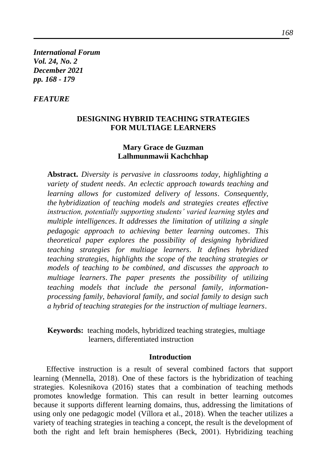*International Forum Vol. 24, No. 2 December 2021 pp. 168 - 179*

## *FEATURE*

## **DESIGNING HYBRID TEACHING STRATEGIES FOR MULTIAGE LEARNERS**

## **Mary Grace de Guzman Lalhmunmawii Kachchhap**

**Abstract.** *Diversity is pervasive in classrooms today, highlighting a variety of student needs*. *An eclectic approach towards teaching and learning allows for customized delivery of lessons*. *Consequently, the hybridization of teaching models and strategies creates effective instruction, potentially supporting students' varied learning styles and multiple intelligences*. *It addresses the limitation of utilizing a single pedagogic approach to achieving better learning outcomes*. *This theoretical paper explores the possibility of designing hybridized teaching strategies for multiage learners*. *It defines hybridized teaching strategies, highlights the scope of the teaching strategies or models of teaching to be combined, and discusses the approach to multiage learners*. *The paper presents the possibility of utilizing teaching models that include the personal family, informationprocessing family, behavioral family, and social family to design such a hybrid of teaching strategies for the instruction of multiage learners*.

**Keywords:** teaching models, hybridized teaching strategies, multiage learners, differentiated instruction

#### **Introduction**

Effective instruction is a result of several combined factors that support learning (Mennella, 2018). One of these factors is the hybridization of teaching strategies. Kolesnikova (2016) states that a combination of teaching methods promotes knowledge formation. This can result in better learning outcomes because it supports different learning domains, thus, addressing the limitations of using only one pedagogic model (Víllora et al., 2018). When the teacher utilizes a variety of teaching strategies in teaching a concept, the result is the development of both the right and left brain hemispheres (Beck, 2001). Hybridizing teaching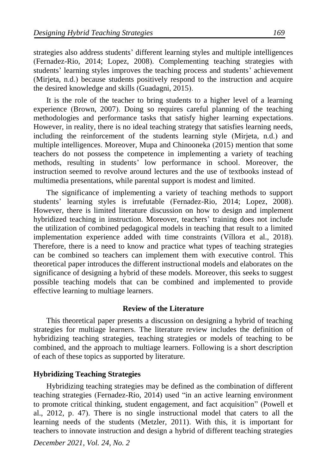strategies also address students' different learning styles and multiple intelligences (Fernadez-Rio, 2014; Lopez, 2008). Complementing teaching strategies with students' learning styles improves the teaching process and students' achievement (Mirjeta, n.d.) because students positively respond to the instruction and acquire the desired knowledge and skills (Guadagni, 2015).

It is the role of the teacher to bring students to a higher level of a learning experience (Brown, 2007). Doing so requires careful planning of the teaching methodologies and performance tasks that satisfy higher learning expectations. However, in reality, there is no ideal teaching strategy that satisfies learning needs, including the reinforcement of the students learning style (Mirjeta, n.d.) and multiple intelligences. Moreover, Mupa and Chinooneka (2015) mention that some teachers do not possess the competence in implementing a variety of teaching methods, resulting in students' low performance in school. Moreover, the instruction seemed to revolve around lectures and the use of textbooks instead of multimedia presentations, while parental support is modest and limited.

The significance of implementing a variety of teaching methods to support students' learning styles is irrefutable (Fernadez-Rio, 2014; Lopez, 2008). However, there is limited literature discussion on how to design and implement hybridized teaching in instruction. Moreover, teachers' training does not include the utilization of combined pedagogical models in teaching that result to a limited implementation experience added with time constraints [\(Víllora](https://journals.sagepub.com/doi/abs/10.1177/1356336X18797363?journalCode=epea) et al., 2018). Therefore, there is a need to know and practice what types of teaching strategies can be combined so teachers can implement them with executive control. This theoretical paper introduces the different instructional models and elaborates on the significance of designing a hybrid of these models. Moreover, this seeks to suggest possible teaching models that can be combined and implemented to provide effective learning to multiage learners.

### **Review of the Literature**

This theoretical paper presents a discussion on designing a hybrid of teaching strategies for multiage learners. The literature review includes the definition of hybridizing teaching strategies, teaching strategies or models of teaching to be combined, and the approach to multiage learners. Following is a short description of each of these topics as supported by literature.

### **Hybridizing Teaching Strategies**

Hybridizing teaching strategies may be defined as the combination of different teaching strategies (Fernadez-Rio, 2014) used "in an active learning environment to promote critical thinking, student engagement, and fact acquisition" (Powell et al., 2012, p. 47). There is no single instructional model that caters to all the learning needs of the students (Metzler, 2011). With this, it is important for teachers to innovate instruction and design a hybrid of different teaching strategies

*December 2021, Vol. 24, No. 2*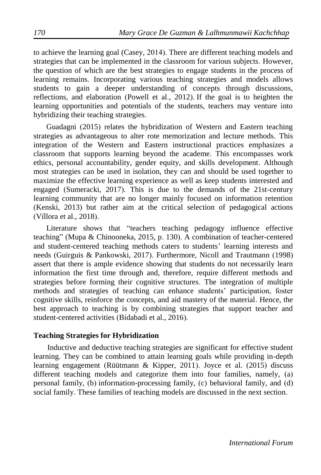to achieve the learning goal (Casey, 2014). There are different teaching models and strategies that can be implemented in the classroom for various subjects. However, the question of which are the best strategies to engage students in the process of learning remains. Incorporating various teaching strategies and models allows students to gain a deeper understanding of concepts through discussions, reflections, and elaboration (Powell et al., 2012). If the goal is to heighten the learning opportunities and potentials of the students, teachers may venture into hybridizing their teaching strategies.

Guadagni (2015) relates the hybridization of Western and Eastern teaching strategies as advantageous to alter rote memorization and lecture methods. This integration of the Western and Eastern instructional practices emphasizes a classroom that supports learning beyond the academe. This encompasses work ethics, personal accountability, gender equity, and skills development. Although most strategies can be used in isolation, they can and should be used together to maximize the effective learning experience as well as keep students interested and engaged (Sumeracki, 2017). This is due to the demands of the 21st-century learning community that are no longer mainly focused on information retention (Kenski, 2013) but rather aim at the critical selection of pedagogical actions [\(Víllora](https://journals.sagepub.com/doi/abs/10.1177/1356336X18797363?journalCode=epea) et al., 2018).

Literature shows that "teachers teaching pedagogy influence effective teaching" (Mupa & Chinooneka, 2015, p. 130). A combination of teacher-centered and student-centered teaching methods caters to students' learning interests and needs (Guirguis & Pankowski, 2017). Furthermore, Nicoll and Trautmann (1998) assert that there is ample evidence showing that students do not necessarily learn information the first time through and, therefore, require different methods and strategies before forming their cognitive structures. The integration of multiple methods and strategies of teaching can enhance students' participation, foster cognitive skills, reinforce the concepts, and aid mastery of the material. Hence, the best approach to teaching is by combining strategies that support teacher and student-centered activities (Bidabadi et al., 2016).

### **Teaching Strategies for Hybridization**

Inductive and deductive teaching strategies are significant for effective student learning. They can be combined to attain learning goals while providing in-depth learning engagement (Rüütmann & Kipper, 2011). Joyce et al. (2015) discuss different teaching models and categorize them into four families, namely, (a) personal family, (b) information-processing family, (c) behavioral family, and (d) social family. These families of teaching models are discussed in the next section.

*International Forum*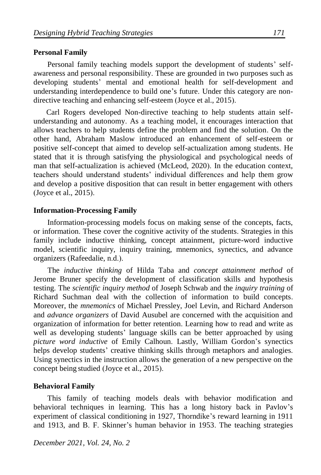### **Personal Family**

Personal family teaching models support the development of students' selfawareness and personal responsibility. These are grounded in two purposes such as developing students' mental and emotional health for self-development and understanding interdependence to build one's future. Under this category are nondirective teaching and enhancing self-esteem (Joyce et al., 2015).

Carl Rogers developed Non-directive teaching to help students attain selfunderstanding and autonomy. As a teaching model, it encourages interaction that allows teachers to help students define the problem and find the solution. On the other hand, Abraham Maslow introduced an enhancement of self-esteem or positive self-concept that aimed to develop self-actualization among students. He stated that it is through satisfying the physiological and psychological needs of man that self-actualization is achieved (McLeod, 2020). In the education context, teachers should understand students' individual differences and help them grow and develop a positive disposition that can result in better engagement with others (Joyce et al., 2015).

### **Information-Processing Family**

Information-processing models focus on making sense of the concepts, facts, or information. These cover the cognitive activity of the students. Strategies in this family include inductive thinking, concept attainment, picture-word inductive model, scientific inquiry, inquiry training, mnemonics, synectics, and advance organizers (Rafeedalie, n.d.).

The *inductive thinking* of Hilda Taba and *concept attainment method* of Jerome Bruner specify the development of classification skills and hypothesis testing. The *scientific inquiry method* of Joseph Schwab and the *inquiry training* of Richard Suchman deal with the collection of information to build concepts. Moreover, the *mnemonics* of Michael Pressley, Joel Levin, and Richard Anderson and *advance organizers* of David Ausubel are concerned with the acquisition and organization of information for better retention. Learning how to read and write as well as developing students' language skills can be better approached by using *picture word inductive* of Emily Calhoun. Lastly, William Gordon's synectics helps develop students' creative thinking skills through metaphors and analogies. Using synectics in the instruction allows the generation of a new perspective on the concept being studied (Joyce et al., 2015).

### **Behavioral Family**

This family of teaching models deals with behavior modification and behavioral techniques in learning. This has a long history back in Pavlov's experiment of classical conditioning in 1927, Thorndike's reward learning in 1911 and 1913, and B. F. Skinner's human behavior in 1953. The teaching strategies

*December 2021, Vol. 24, No. 2*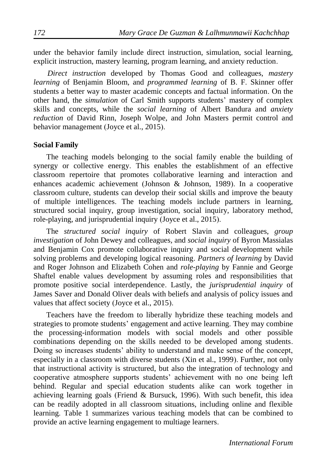under the behavior family include direct instruction, simulation, social learning, explicit instruction, mastery learning, program learning, and anxiety reduction.

*Direct instruction* developed by Thomas Good and colleagues, *mastery learning* of Benjamin Bloom, and *programmed learning* of B. F. Skinner offer students a better way to master academic concepts and factual information. On the other hand, the *simulation* of Carl Smith supports students' mastery of complex skills and concepts, while the *social learning* of Albert Bandura and *anxiety reduction* of David Rinn, Joseph Wolpe, and John Masters permit control and behavior management (Joyce et al., 2015).

#### **Social Family**

The teaching models belonging to the social family enable the building of synergy or collective energy. This enables the establishment of an effective classroom repertoire that promotes collaborative learning and interaction and enhances academic achievement (Johnson & Johnson, 1989). In a cooperative classroom culture, students can develop their social skills and improve the beauty of multiple intelligences. The teaching models include partners in learning, structured social inquiry, group investigation, social inquiry, laboratory method, role-playing, and jurisprudential inquiry (Joyce et al., 2015).

The *structured social inquiry* of Robert Slavin and colleagues, *group investigation* of John Dewey and colleagues*,* and *social inquiry* of Byron Massialas and Benjamin Cox promote collaborative inquiry and social development while solving problems and developing logical reasoning. *Partners of learning* by David and Roger Johnson and Elizabeth Cohen and *role-playing* by Fannie and George Shaftel enable values development by assuming roles and responsibilities that promote positive social interdependence. Lastly, the *jurisprudential inquiry* of James Saver and Donald Oliver deals with beliefs and analysis of policy issues and values that affect society (Joyce et al., 2015).

Teachers have the freedom to liberally hybridize these teaching models and strategies to promote students' engagement and active learning. They may combine the processing-information models with social models and other possible combinations depending on the skills needed to be developed among students. Doing so increases students' ability to understand and make sense of the concept, especially in a classroom with diverse students (Xin et al., 1999). Further, not only that instructional activity is structured, but also the integration of technology and cooperative atmosphere supports students' achievement with no one being left behind. Regular and special education students alike can work together in achieving learning goals (Friend & Bursuck, 1996). With such benefit, this idea can be readily adopted in all classroom situations, including online and flexible learning. Table 1 summarizes various teaching models that can be combined to provide an active learning engagement to multiage learners.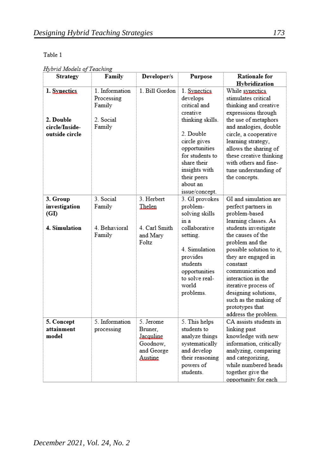## Table 1

Hybrid Models of Teaching

| <b>Strategy</b>                                               | Family                                                       | Developer/s                                                            | Purpose                                                                                                                                                                             | <b>Rationale for</b><br>Hybridization                                                                                                                                                                                                                                                                                                                                               |
|---------------------------------------------------------------|--------------------------------------------------------------|------------------------------------------------------------------------|-------------------------------------------------------------------------------------------------------------------------------------------------------------------------------------|-------------------------------------------------------------------------------------------------------------------------------------------------------------------------------------------------------------------------------------------------------------------------------------------------------------------------------------------------------------------------------------|
| 1. Synectics<br>2. Double<br>circle/Inside-<br>outside circle | 1 Information<br>Processing<br>Family<br>2. Social<br>Family | 1 Bill Gordon                                                          | 1. Synectics<br>develops<br>critical and<br>creative<br>thinking skills.<br>2. Double<br>circle gives<br>opportunities<br>for students to<br>share their<br>insights with           | While synectics.<br>stimulates critical<br>thinking and creative<br>expressions through<br>the use of metaphors<br>and analogies, double<br>circle, a cooperative<br>learning strategy,<br>allows the sharing of<br>these creative thinking<br>with others and fine-<br>tune understanding of                                                                                       |
|                                                               |                                                              |                                                                        | their peers<br>about an<br>issue/concept.                                                                                                                                           | the concepts.                                                                                                                                                                                                                                                                                                                                                                       |
| 3. Group<br>investigation<br>(GI)<br>4. Simulation            | 3. Social<br>Family<br>4. Behavioral<br>Family               | 3. Herbert<br>Thelen<br>4. Carl Smith<br>and Mary<br>Foltz             | 3. GI provokes<br>problem-<br>solving skills<br>in a<br>collaborative<br>setting.<br>4. Simulation<br>provides<br>students<br>opportunities<br>to solve real-<br>world<br>problems. | GI and simulation are<br>perfect partners in<br>problem-based<br>learning classes. As<br>students investigate<br>the causes of the<br>problem and the<br>possible solution to it,<br>they are engaged in<br>constant<br>communication and<br>interaction in the<br>iterative process of<br>designing solutions.<br>such as the making of<br>prototypes that<br>address the problem. |
| 5. Concept<br>attainment<br>model                             | 5. Information<br>processing                                 | 5. Jerome<br>Bruner.<br>Jacquline<br>Goodnow.<br>and George<br>Austine | 5. This helps<br>students to<br>analyze things<br>systematically<br>and develop<br>their reasoning<br>powers of<br>students                                                         | CA assists students in<br>linking past<br>knowledge with new<br>information, critically<br>analyzing, comparing<br>and categorizing.<br>while numbered heads<br>together give the<br>opportunity for each                                                                                                                                                                           |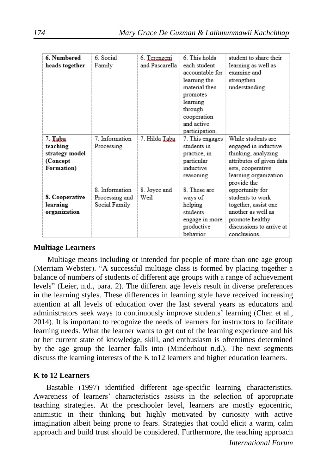| 6. Numbered<br>6. This holds<br>6 Social<br>student to share their<br>6. Terenzeni<br>and Pascarella<br>heads together<br>each student<br>Family<br>learning as well as |  |
|-------------------------------------------------------------------------------------------------------------------------------------------------------------------------|--|
|                                                                                                                                                                         |  |
|                                                                                                                                                                         |  |
| accountable for<br>examine and                                                                                                                                          |  |
| strengthen<br>learning the                                                                                                                                              |  |
| material then<br>understanding.                                                                                                                                         |  |
| promotes                                                                                                                                                                |  |
| learning                                                                                                                                                                |  |
| through                                                                                                                                                                 |  |
| cooperation                                                                                                                                                             |  |
| and active                                                                                                                                                              |  |
| participation.                                                                                                                                                          |  |
| 7. Information<br>While students are<br>7. Hilda Taba<br>7. Taba<br>7. This engages                                                                                     |  |
| students in<br>engaged in inductive<br>teaching<br>Processing                                                                                                           |  |
| thinking, analyzing<br>strategy model<br>practice, in                                                                                                                   |  |
| (Concept<br>attributes of given data<br>particular                                                                                                                      |  |
| inductive<br>Formation)<br>sets, cooperative                                                                                                                            |  |
| learning organization<br>reasoning.                                                                                                                                     |  |
| provide the                                                                                                                                                             |  |
| 8. Information<br>8 These are<br>opportunity for<br>8. Joyce and                                                                                                        |  |
| <b>8. Cooperative</b><br>Weil<br>students to work<br>Processing and<br>ways of                                                                                          |  |
| learning<br>Social Family<br>helping<br>together, assist one                                                                                                            |  |
| another as well as<br>organization<br>students                                                                                                                          |  |
| promote healthy<br>engage in more                                                                                                                                       |  |
| productive<br>discussions to arrive at                                                                                                                                  |  |
| behavior.<br>conclusions.                                                                                                                                               |  |

## **Multiage Learners**

Multiage means including or intended for people of more than one age group (Merriam Webster). "A successful multiage class is formed by placing together a balance of numbers of students of different age groups with a range of achievement levels" (Leier, n.d., para. 2). The different age levels result in diverse preferences in the learning styles. These differences in learning style have received increasing attention at all levels of education over the last several years as educators and administrators seek ways to continuously improve students' learning (Chen et al., 2014). It is important to recognize the needs of learners for instructors to facilitate learning needs. What the learner wants to get out of the learning experience and his or her current state of knowledge, skill, and enthusiasm is oftentimes determined by the age group the learner falls into (Minderhout n.d.). The next segments discuss the learning interests of the K to12 learners and higher education learners.

# **K to 12 Learners**

Bastable (1997) identified different age-specific learning characteristics. Awareness of learners' characteristics assists in the selection of appropriate teaching strategies. At the preschooler level, learners are mostly egocentric, animistic in their thinking but highly motivated by curiosity with active imagination albeit being prone to fears. Strategies that could elicit a warm, calm approach and build trust should be considered. Furthermore, the teaching approach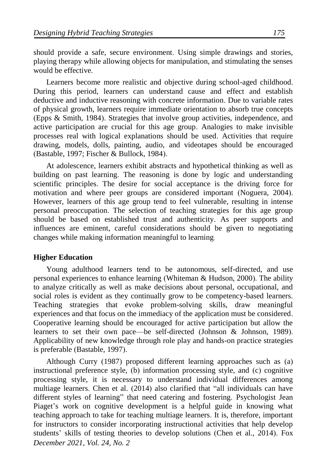should provide a safe, secure environment. Using simple drawings and stories, playing therapy while allowing objects for manipulation, and stimulating the senses would be effective.

Learners become more realistic and objective during school-aged childhood. During this period, learners can understand cause and effect and establish deductive and inductive reasoning with concrete information. Due to variable rates of physical growth, learners require immediate orientation to absorb true concepts (Epps & Smith, 1984). Strategies that involve group activities, independence, and active participation are crucial for this age group. Analogies to make invisible processes real with logical explanations should be used. Activities that require drawing, models, dolls, painting, audio, and videotapes should be encouraged (Bastable, 1997; Fischer & Bullock, 1984).

At adolescence, learners exhibit abstracts and hypothetical thinking as well as building on past learning. The reasoning is done by logic and understanding scientific principles. The desire for social acceptance is the driving force for motivation and where peer groups are considered important (Noguera, 2004). However, learners of this age group tend to feel vulnerable, resulting in intense personal preoccupation. The selection of teaching strategies for this age group should be based on established trust and authenticity. As peer supports and influences are eminent, careful considerations should be given to negotiating changes while making information meaningful to learning.

## **Higher Education**

Young adulthood learners tend to be autonomous, self-directed, and use personal experiences to enhance learning (Whiteman & Hudson, 2000). The ability to analyze critically as well as make decisions about personal, occupational, and social roles is evident as they continually grow to be competency-based learners. Teaching strategies that evoke problem-solving skills, draw meaningful experiences and that focus on the immediacy of the application must be considered. Cooperative learning should be encouraged for active participation but allow the learners to set their own pace—be self-directed (Johnson & Johnson, 1989). Applicability of new knowledge through role play and hands-on practice strategies is preferable (Bastable, 1997).

*December 2021, Vol. 24, No. 2* Although Curry (1987) proposed different learning approaches such as (a) instructional preference style, (b) information processing style, and (c) cognitive processing style, it is necessary to understand individual differences among multiage learners. Chen et al. (2014) also clarified that "all individuals can have different styles of learning" that need catering and fostering. Psychologist Jean Piaget's work on cognitive development is a helpful guide in knowing what teaching approach to take for teaching multiage learners. It is, therefore, important for instructors to consider incorporating instructional activities that help develop students' skills of testing theories to develop solutions (Chen et al., 2014). Fox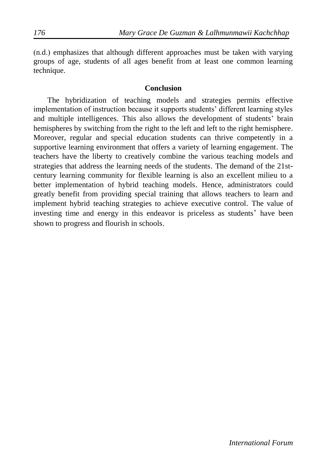(n.d.) emphasizes that although different approaches must be taken with varying groups of age, students of all ages benefit from at least one common learning technique.

### **Conclusion**

The hybridization of teaching models and strategies permits effective implementation of instruction because it supports students' different learning styles and multiple intelligences. This also allows the development of students' brain hemispheres by switching from the right to the left and left to the right hemisphere. Moreover, regular and special education students can thrive competently in a supportive learning environment that offers a variety of learning engagement. The teachers have the liberty to creatively combine the various teaching models and strategies that address the learning needs of the students. The demand of the 21stcentury learning community for flexible learning is also an excellent milieu to a better implementation of hybrid teaching models. Hence, administrators could greatly benefit from providing special training that allows teachers to learn and implement hybrid teaching strategies to achieve executive control. The value of investing time and energy in this endeavor is priceless as students' have been shown to progress and flourish in schools.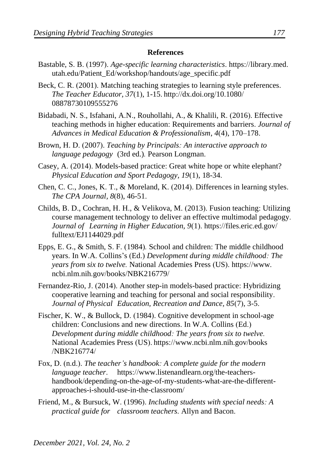#### **References**

- Bastable, S. B. (1997). *Age-specific learning characteristics*. https://library.med. utah.edu/Patient\_Ed/workshop/handouts/age\_specific.pdf
- Beck, C. R. (2001). Matching teaching strategies to learning style preferences. *The Teacher Educator, 37*(1), 1-15. http://dx.doi.org/10.1080/ 08878730109555276
- Bidabadi, N. S., Isfahani, A.N., Rouhollahi, A., & Khalili, R. (2016). Effective teaching methods in higher education: Requirements and barriers. *Journal of Advances in Medical Education & Professionalism*, *4*(4), 170–178.
- Brown, H. D. (2007). *Teaching by Principals: An interactive approach to language pedagogy* (3rd ed.)*.* Pearson Longman.
- Casey, A. (2014). Models-based practice: Great white hope or white elephant? *Physical Education and Sport Pedagogy, 19*(1), 18-34.
- Chen, C. C., Jones, K. T., & Moreland, K. (2014). Differences in learning styles. *The CPA Journal, 8*(8), 46-51.
- Childs, B. D., Cochran, H. H., & Velikova, M. (2013). Fusion teaching: Utilizing course management technology to deliver an effective multimodal pedagogy*. Journal of Learning in Higher Education, 9*(1). https://files.eric.ed.gov/ fulltext/EJ1144029.pdf
- Epps, E. G., & Smith, S. F. (1984)*.* School and children: The middle childhood years. In W.A. Collins's (Ed.) *Development during middle childhood: The years from six to twelve.* National Academies Press (US). https://www. ncbi.nlm.nih.gov/books/NBK216779/
- Fernandez-Rio, J. (2014). Another step-in models-based practice: Hybridizing cooperative learning and teaching for personal and social responsibility. *Journal of Physical Education, Recreation and Dance, 85*(7), 3-5.
- Fischer, K. W., & Bullock, D. (1984). Cognitive development in school-age children: Conclusions and new directions. In W.A. Collins (Ed.) *Development during middle childhood: The years from six to twelve.* National Academies Press (US). https://www.ncbi.nlm.nih.gov/books /NBK216774/
- Fox, D. (n.d.). *The teacher's handbook: A complete guide for the modern language teacher*. https://www.listenandlearn.org/the-teachershandbook/depending-on-the-age-of-my-students-what-are-the-differentapproaches-i-should-use-in-the-classroom/
- Friend, M., & Bursuck, W. (1996). *Including students with special needs: A practical guide for classroom teachers*. Allyn and Bacon.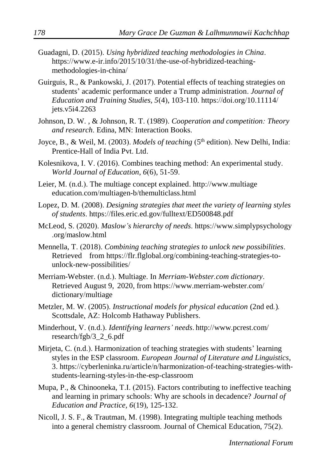- Guadagni, D. (2015). *Using hybridized teaching methodologies in China*. https://www.e-ir.info/2015/10/31/the-use-of-hybridized-teachingmethodologies-in-china/
- Guirguis, R., & Pankowski, J. (2017). Potential effects of teaching strategies on students' academic performance under a Trump administration. *Journal of Education and Training Studies, 5*(4), 103-110. https://doi.org/10.11114/ jets.v5i4.2263
- Johnson, D. W. , & Johnson, R. T. (1989). *Cooperation and competition: Theory and research*. Edina, MN: Interaction Books.
- Joyce, B., & Weil, M. (2003). *Models of teaching* (5<sup>th</sup> edition). New Delhi, India: Prentice-Hall of India Pvt. Ltd.
- Kolesnikova, I. V. (2016). Combines teaching method: An experimental study. *World Journal of Education, 6*(6), 51-59.
- Leier, M. (n.d.). The multiage concept explained. http://www.multiage education.com/multiagen-b/themulticlass.html
- Lopez, D. M. (2008). *Designing strategies that meet the variety of learning styles of students*. https://files.eric.ed.gov/fulltext/ED500848.pdf
- McLeod, S. (2020). *Maslow's hierarchy of needs*. https://www.simplypsychology .org/maslow.html
- Mennella, T. (2018). *Combining teaching strategies to unlock new possibilities*. Retrieved from https://flr.flglobal.org/combining-teaching-strategies-tounlock-new-possibilities/
- Merriam-Webster. (n.d.). Multiage. In *Merriam-Webster.com dictionary*. Retrieved August 9, 2020, from https://www.merriam-webster.com/ dictionary/multiage
- Metzler, M. W. (2005). *Instructional models for physical education* (2nd ed*.*)*.* Scottsdale, AZ: Holcomb Hathaway Publishers.
- Minderhout, V. (n.d.). *Identifying learners' needs*. http://www.pcrest.com/ research/fgb/3\_2\_6.pdf
- Mirjeta, C. (n.d.). Harmonization of teaching strategies with students' learning styles in the ESP classroom. *European Journal of Literature and Linguistics*, 3. https://cyberleninka.ru/article/n/harmonization-of-teaching-strategies-withstudents-learning-styles-in-the-esp-classroom
- Mupa, P., & Chinooneka, T.I. (2015). Factors contributing to ineffective teaching and learning in primary schools: Why are schools in decadence? *Journal of Education and Practice, 6*(19), 125-132.
- Nicoll, J. S. F., & Trautman, M. (1998). Integrating multiple teaching methods into a general chemistry classroom. Journal of Chemical Education, 75(2).